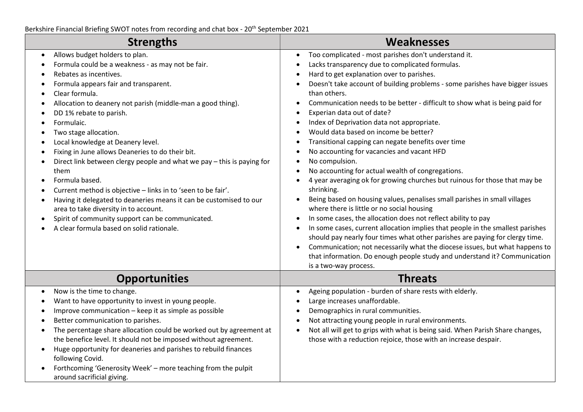| <b>Strengths</b>                                                                                                                                                                                                                                                                                                                                                                                                                                                                                                                                                                                                                                                                                                                                                                       | <b>Weaknesses</b>                                                                                                                                                                                                                                                                                                                                                                                                                                                                                                                                                                                                                                                                                                                                                                                                                                                                                                                                                                                                                                                                                                                                                                                                                                                                                                                                                                                                                      |
|----------------------------------------------------------------------------------------------------------------------------------------------------------------------------------------------------------------------------------------------------------------------------------------------------------------------------------------------------------------------------------------------------------------------------------------------------------------------------------------------------------------------------------------------------------------------------------------------------------------------------------------------------------------------------------------------------------------------------------------------------------------------------------------|----------------------------------------------------------------------------------------------------------------------------------------------------------------------------------------------------------------------------------------------------------------------------------------------------------------------------------------------------------------------------------------------------------------------------------------------------------------------------------------------------------------------------------------------------------------------------------------------------------------------------------------------------------------------------------------------------------------------------------------------------------------------------------------------------------------------------------------------------------------------------------------------------------------------------------------------------------------------------------------------------------------------------------------------------------------------------------------------------------------------------------------------------------------------------------------------------------------------------------------------------------------------------------------------------------------------------------------------------------------------------------------------------------------------------------------|
| Allows budget holders to plan.<br>Formula could be a weakness - as may not be fair.<br>Rebates as incentives.<br>Formula appears fair and transparent.<br>Clear formula.<br>Allocation to deanery not parish (middle-man a good thing).<br>DD 1% rebate to parish.<br>Formulaic.<br>Two stage allocation.<br>Local knowledge at Deanery level.<br>Fixing in June allows Deaneries to do their bit.<br>Direct link between clergy people and what we pay - this is paying for<br>them<br>Formula based.<br>Current method is objective - links in to 'seen to be fair'.<br>Having it delegated to deaneries means it can be customised to our<br>area to take diversity in to account.<br>Spirit of community support can be communicated.<br>A clear formula based on solid rationale. | Too complicated - most parishes don't understand it.<br>$\bullet$<br>Lacks transparency due to complicated formulas.<br>$\bullet$<br>Hard to get explanation over to parishes.<br>$\bullet$<br>Doesn't take account of building problems - some parishes have bigger issues<br>$\bullet$<br>than others.<br>Communication needs to be better - difficult to show what is being paid for<br>Experian data out of date?<br>$\bullet$<br>Index of Deprivation data not appropriate.<br>$\bullet$<br>Would data based on income be better?<br>$\bullet$<br>Transitional capping can negate benefits over time<br>٠<br>No accounting for vacancies and vacant HFD<br>$\bullet$<br>No compulsion.<br>No accounting for actual wealth of congregations.<br>4 year averaging ok for growing churches but ruinous for those that may be<br>shrinking.<br>Being based on housing values, penalises small parishes in small villages<br>where there is little or no social housing<br>In some cases, the allocation does not reflect ability to pay<br>$\bullet$<br>In some cases, current allocation implies that people in the smallest parishes<br>$\bullet$<br>should pay nearly four times what other parishes are paying for clergy time.<br>Communication; not necessarily what the diocese issues, but what happens to<br>$\bullet$<br>that information. Do enough people study and understand it? Communication<br>is a two-way process. |
| <b>Opportunities</b>                                                                                                                                                                                                                                                                                                                                                                                                                                                                                                                                                                                                                                                                                                                                                                   | <b>Threats</b>                                                                                                                                                                                                                                                                                                                                                                                                                                                                                                                                                                                                                                                                                                                                                                                                                                                                                                                                                                                                                                                                                                                                                                                                                                                                                                                                                                                                                         |
| Now is the time to change.<br>$\bullet$<br>Want to have opportunity to invest in young people.<br>Improve communication - keep it as simple as possible<br>Better communication to parishes.<br>The percentage share allocation could be worked out by agreement at<br>the benefice level. It should not be imposed without agreement.<br>Huge opportunity for deaneries and parishes to rebuild finances<br>following Covid.<br>Forthcoming 'Generosity Week' - more teaching from the pulpit<br>around sacrificial giving.                                                                                                                                                                                                                                                           | Ageing population - burden of share rests with elderly.<br>$\bullet$<br>Large increases unaffordable.<br>Demographics in rural communities.<br>$\bullet$<br>Not attracting young people in rural environments.<br>$\bullet$<br>Not all will get to grips with what is being said. When Parish Share changes,<br>those with a reduction rejoice, those with an increase despair.                                                                                                                                                                                                                                                                                                                                                                                                                                                                                                                                                                                                                                                                                                                                                                                                                                                                                                                                                                                                                                                        |